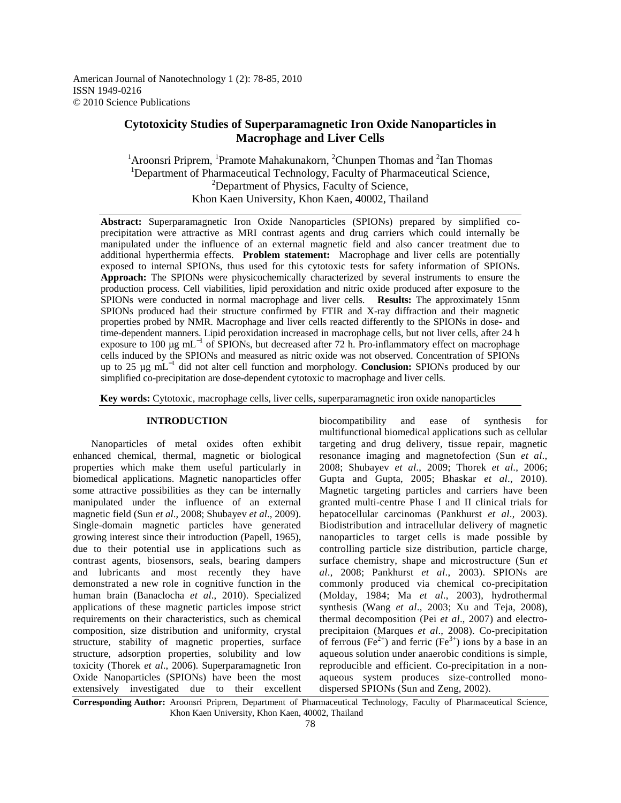American Journal of Nanotechnology 1 (2): 78-85, 2010 ISSN 1949-0216 © 2010 Science Publications

# **Cytotoxicity Studies of Superparamagnetic Iron Oxide Nanoparticles in Macrophage and Liver Cells**

<sup>1</sup> Aroonsri Priprem, <sup>1</sup>Pramote Mahakunakorn, <sup>2</sup>Chunpen Thomas and <sup>2</sup>Ian Thomas <sup>1</sup>Department of Pharmaceutical Technology, Faculty of Pharmaceutical Science, <sup>2</sup>Department of Physics, Faculty of Science, Khon Kaen University, Khon Kaen, 40002, Thailand

**Abstract:** Superparamagnetic Iron Oxide Nanoparticles (SPIONs) prepared by simplified coprecipitation were attractive as MRI contrast agents and drug carriers which could internally be manipulated under the influence of an external magnetic field and also cancer treatment due to additional hyperthermia effects. **Problem statement:** Macrophage and liver cells are potentially exposed to internal SPIONs, thus used for this cytotoxic tests for safety information of SPIONs. **Approach:** The SPIONs were physicochemically characterized by several instruments to ensure the production process. Cell viabilities, lipid peroxidation and nitric oxide produced after exposure to the SPIONs were conducted in normal macrophage and liver cells. **Results:** The approximately 15nm SPIONs produced had their structure confirmed by FTIR and X-ray diffraction and their magnetic properties probed by NMR. Macrophage and liver cells reacted differently to the SPIONs in dose- and time-dependent manners. Lipid peroxidation increased in macrophage cells, but not liver cells, after 24 h exposure to 100 μg mL<sup>-1</sup> of SPIONs, but decreased after 72 h. Pro-inflammatory effect on macrophage cells induced by the SPIONs and measured as nitric oxide was not observed. Concentration of SPIONs up to 25 µg mL<sup>−</sup><sup>1</sup> did not alter cell function and morphology. **Conclusion:** SPIONs produced by our simplified co-precipitation are dose-dependent cytotoxic to macrophage and liver cells.

**Key words:** Cytotoxic, macrophage cells, liver cells, superparamagnetic iron oxide nanoparticles

# **INTRODUCTION**

 Nanoparticles of metal oxides often exhibit enhanced chemical, thermal, magnetic or biological properties which make them useful particularly in biomedical applications. Magnetic nanoparticles offer some attractive possibilities as they can be internally manipulated under the influence of an external magnetic field (Sun *et al*., 2008; Shubayev *et al*., 2009). Single-domain magnetic particles have generated growing interest since their introduction (Papell, 1965), due to their potential use in applications such as contrast agents, biosensors, seals, bearing dampers and lubricants and most recently they have demonstrated a new role in cognitive function in the human brain (Banaclocha *et al*., 2010). Specialized applications of these magnetic particles impose strict requirements on their characteristics, such as chemical composition, size distribution and uniformity, crystal structure, stability of magnetic properties, surface structure, adsorption properties, solubility and low toxicity (Thorek *et al*., 2006). Superparamagnetic Iron Oxide Nanoparticles (SPIONs) have been the most extensively investigated due to their excellent

biocompatibility and ease of synthesis for multifunctional biomedical applications such as cellular targeting and drug delivery, tissue repair, magnetic resonance imaging and magnetofection (Sun *et al*., 2008; Shubayev *et al*., 2009; Thorek *et al*., 2006; Gupta and Gupta, 2005; Bhaskar *et al*., 2010). Magnetic targeting particles and carriers have been granted multi-centre Phase I and II clinical trials for hepatocellular carcinomas (Pankhurst *et al*., 2003). Biodistribution and intracellular delivery of magnetic nanoparticles to target cells is made possible by controlling particle size distribution, particle charge, surface chemistry, shape and microstructure (Sun *et al*., 2008; Pankhurst *et al*., 2003). SPIONs are commonly produced via chemical co-precipitation (Molday, 1984; Ma *et al*., 2003), hydrothermal synthesis (Wang *et al*., 2003; Xu and Teja, 2008), thermal decomposition (Pei *et al*., 2007) and electroprecipitaion (Marques *et al*., 2008). Co-precipitation of ferrous (Fe<sup>2+</sup>) and ferric (Fe<sup>3+</sup>) ions by a base in an aqueous solution under anaerobic conditions is simple, reproducible and efficient. Co-precipitation in a nonaqueous system produces size-controlled monodispersed SPIONs (Sun and Zeng, 2002).

**Corresponding Author:** Aroonsri Priprem, Department of Pharmaceutical Technology, Faculty of Pharmaceutical Science, Khon Kaen University, Khon Kaen, 40002, Thailand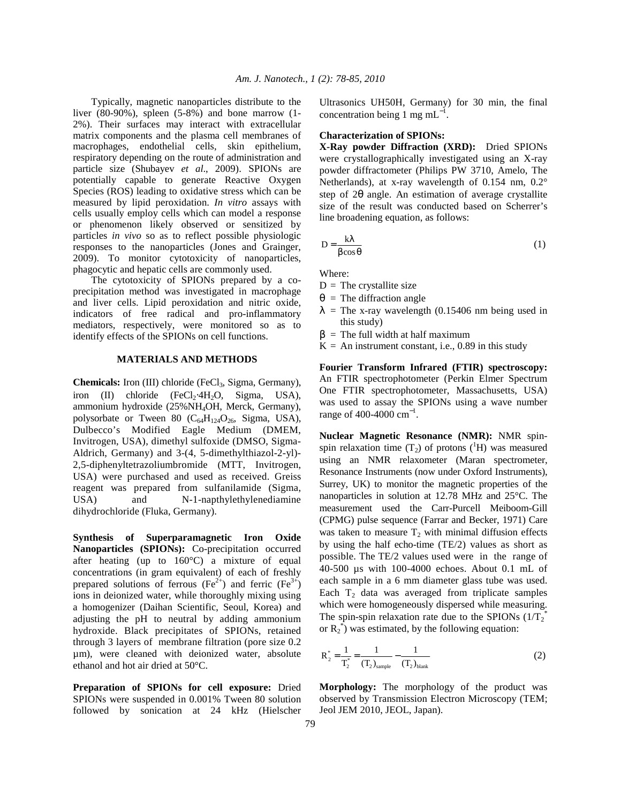Typically, magnetic nanoparticles distribute to the liver  $(80-90\%)$ , spleen  $(5-8\%)$  and bone marrow  $(1-$ 2%). Their surfaces may interact with extracellular matrix components and the plasma cell membranes of macrophages, endothelial cells, skin epithelium, respiratory depending on the route of administration and particle size (Shubayev *et al*., 2009). SPIONs are potentially capable to generate Reactive Oxygen Species (ROS) leading to oxidative stress which can be measured by lipid peroxidation. *In vitro* assays with cells usually employ cells which can model a response or phenomenon likely observed or sensitized by particles *in vivo* so as to reflect possible physiologic responses to the nanoparticles (Jones and Grainger, 2009). To monitor cytotoxicity of nanoparticles, phagocytic and hepatic cells are commonly used.

 The cytotoxicity of SPIONs prepared by a coprecipitation method was investigated in macrophage and liver cells. Lipid peroxidation and nitric oxide, indicators of free radical and pro-inflammatory mediators, respectively, were monitored so as to identify effects of the SPIONs on cell functions.

## **MATERIALS AND METHODS**

**Chemicals:** Iron (III) chloride (FeCl<sub>3</sub>, Sigma, Germany), iron (II) chloride (FeCl<sub>2</sub>⋅4H<sub>2</sub>O, Sigma, USA), ammonium hydroxide (25%NH4OH, Merck, Germany), polysorbate or Tween 80  $(C_{64}H_{124}O_{26}$ , Sigma, USA), Dulbecco's Modified Eagle Medium (DMEM, Invitrogen, USA), dimethyl sulfoxide (DMSO, Sigma-Aldrich, Germany) and 3-(4, 5-dimethylthiazol-2-yl)- 2,5-diphenyltetrazoliumbromide (MTT, Invitrogen, USA) were purchased and used as received. Greiss reagent was prepared from sulfanilamide (Sigma, USA) and N-1-napthylethylenediamine dihydrochloride (Fluka, Germany).

**Synthesis of Superparamagnetic Iron Oxide Nanoparticles (SPIONs):** Co-precipitation occurred after heating (up to 160°C) a mixture of equal concentrations (in gram equivalent) of each of freshly prepared solutions of ferrous (Fe<sup>2+</sup>) and ferric (Fe<sup>3+</sup>) ions in deionized water, while thoroughly mixing using a homogenizer (Daihan Scientific, Seoul, Korea) and adjusting the pH to neutral by adding ammonium hydroxide. Black precipitates of SPIONs, retained through 3 layers of membrane filtration (pore size 0.2 µm), were cleaned with deionized water, absolute ethanol and hot air dried at 50°C.

**Preparation of SPIONs for cell exposure:** Dried SPIONs were suspended in 0.001% Tween 80 solution followed by sonication at 24 kHz (Hielscher

Ultrasonics UH50H, Germany) for 30 min, the final concentration being 1 mg mL<sup>-1</sup>.

#### **Characterization of SPIONs:**

**X-Ray powder Diffraction (XRD):** Dried SPIONs were crystallographically investigated using an X-ray powder diffractometer (Philips PW 3710, Amelo, The Netherlands), at x-ray wavelength of 0.154 nm, 0.2° step of 2θ angle. An estimation of average crystallite size of the result was conducted based on Scherrer's line broadening equation, as follows:

$$
D = \frac{k\lambda}{\beta\cos\theta} \tag{1}
$$

Where:

- $D =$ The crystallite size
- $\theta$  = The diffraction angle
- $\lambda$  = The x-ray wavelength (0.15406 nm being used in this study)
- $\beta$  = The full width at half maximum
- $K = An instrument constant, i.e., 0.89 in this study$

**Fourier Transform Infrared (FTIR) spectroscopy:** An FTIR spectrophotometer (Perkin Elmer Spectrum One FTIR spectrophotometer, Massachusetts, USA) was used to assay the SPIONs using a wave number range of 400-4000  $\text{cm}^{-1}$ .

**Nuclear Magnetic Resonance (NMR):** NMR spinspin relaxation time  $(T_2)$  of protons  $({}^1H)$  was measured using an NMR relaxometer (Maran spectrometer, Resonance Instruments (now under Oxford Instruments), Surrey, UK) to monitor the magnetic properties of the nanoparticles in solution at 12.78 MHz and 25°C. The measurement used the Carr-Purcell Meiboom-Gill (CPMG) pulse sequence (Farrar and Becker, 1971) Care was taken to measure  $T_2$  with minimal diffusion effects by using the half echo-time (TE/2) values as short as possible. The TE/2 values used were in the range of 40-500 µs with 100-4000 echoes. About 0.1 mL of each sample in a 6 mm diameter glass tube was used. Each  $T_2$  data was averaged from triplicate samples which were homogeneously dispersed while measuring. The spin-spin relaxation rate due to the SPIONs  $(1/T_2^*)$ or  $R_2^*$ ) was estimated, by the following equation:

$$
R_2^* = \frac{1}{T_2^*} = \frac{1}{(T_2)_{\text{sample}}} - \frac{1}{(T_2)_{\text{blank}}} \tag{2}
$$

**Morphology:** The morphology of the product was observed by Transmission Electron Microscopy (TEM; Jeol JEM 2010, JEOL, Japan).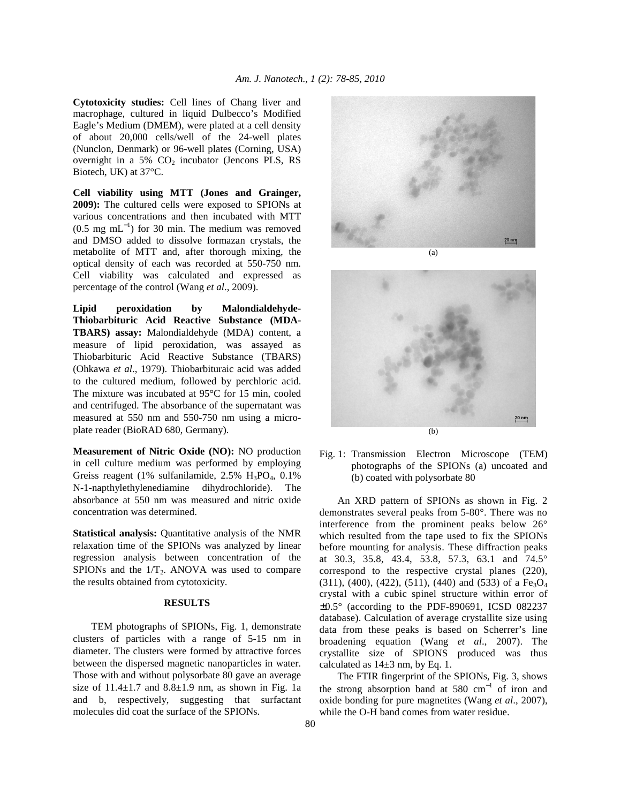**Cytotoxicity studies:** Cell lines of Chang liver and macrophage, cultured in liquid Dulbecco's Modified Eagle's Medium (DMEM), were plated at a cell density of about 20,000 cells/well of the 24-well plates (Nunclon, Denmark) or 96-well plates (Corning, USA) overnight in a 5%  $CO<sub>2</sub>$  incubator (Jencons PLS, RS Biotech, UK) at 37°C.

**Cell viability using MTT (Jones and Grainger, 2009):** The cultured cells were exposed to SPIONs at various concentrations and then incubated with MTT  $(0.5 \text{ mg } \text{mL}^{-1})$  for 30 min. The medium was removed and DMSO added to dissolve formazan crystals, the metabolite of MTT and, after thorough mixing, the optical density of each was recorded at 550-750 nm. Cell viability was calculated and expressed as percentage of the control (Wang *et al*., 2009).

**Lipid peroxidation by Malondialdehyde-Thiobarbituric Acid Reactive Substance (MDA-TBARS) assay:** Malondialdehyde (MDA) content, a measure of lipid peroxidation, was assayed as Thiobarbituric Acid Reactive Substance (TBARS) (Ohkawa *et al*., 1979). Thiobarbituraic acid was added to the cultured medium, followed by perchloric acid. The mixture was incubated at 95°C for 15 min, cooled and centrifuged. The absorbance of the supernatant was measured at 550 nm and 550-750 nm using a microplate reader (BioRAD 680, Germany).

**Measurement of Nitric Oxide (NO):** NO production in cell culture medium was performed by employing Greiss reagent (1% sulfanilamide,  $2.5\%$  H<sub>3</sub>PO<sub>4</sub>,  $0.1\%$ ) N-1-napthylethylenediamine dihydrochloride). The absorbance at 550 nm was measured and nitric oxide concentration was determined.

**Statistical analysis:** Quantitative analysis of the NMR relaxation time of the SPIONs was analyzed by linear regression analysis between concentration of the SPIONs and the  $1/T_2$ . ANOVA was used to compare the results obtained from cytotoxicity.

# **RESULTS**

 TEM photographs of SPIONs, Fig. 1, demonstrate clusters of particles with a range of 5-15 nm in diameter. The clusters were formed by attractive forces between the dispersed magnetic nanoparticles in water. Those with and without polysorbate 80 gave an average size of  $11.4 \pm 1.7$  and  $8.8 \pm 1.9$  nm, as shown in Fig. 1a and b, respectively, suggesting that surfactant molecules did coat the surface of the SPIONs.





Fig. 1: Transmission Electron Microscope (TEM) photographs of the SPIONs (a) uncoated and (b) coated with polysorbate 80

 An XRD pattern of SPIONs as shown in Fig. 2 demonstrates several peaks from 5-80°. There was no interference from the prominent peaks below 26° which resulted from the tape used to fix the SPIONs before mounting for analysis. These diffraction peaks at 30.3, 35.8, 43.4, 53.8, 57.3, 63.1 and 74.5° correspond to the respective crystal planes (220),  $(311)$ ,  $(400)$ ,  $(422)$ ,  $(511)$ ,  $(440)$  and  $(533)$  of a Fe<sub>3</sub>O<sub>4</sub> crystal with a cubic spinel structure within error of  $\pm 0.5^\circ$  (according to the PDF-890691, ICSD 082237 database). Calculation of average crystallite size using data from these peaks is based on Scherrer's line broadening equation (Wang *et al*., 2007). The crystallite size of SPIONS produced was thus calculated as  $14\pm3$  nm, by Eq. 1.

 The FTIR fingerprint of the SPIONs, Fig. 3, shows the strong absorption band at 580  $cm^{-1}$  of iron and oxide bonding for pure magnetites (Wang *et al*., 2007), while the O-H band comes from water residue.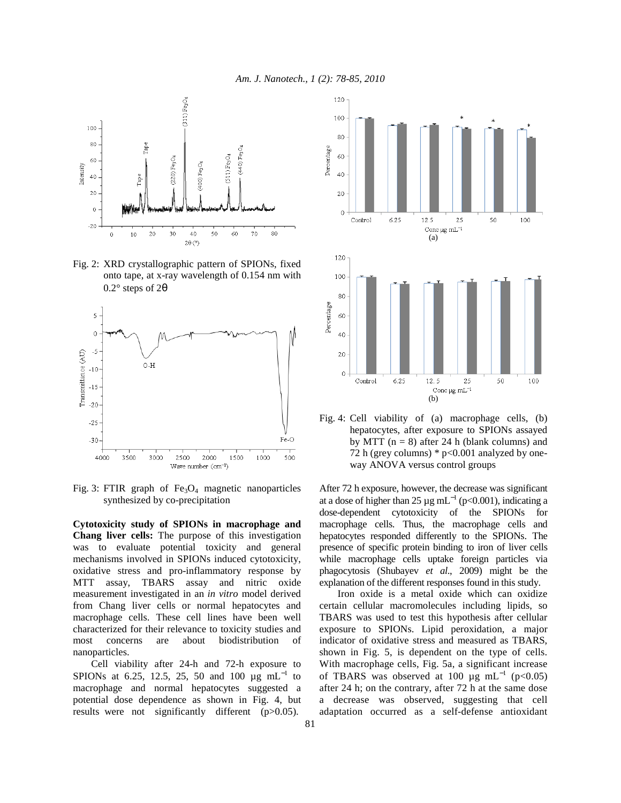

Fig. 2: XRD crystallographic pattern of SPIONs, fixed onto tape, at x-ray wavelength of 0.154 nm with 0.2° steps of 2θ



Fig. 3: FTIR graph of  $Fe<sub>3</sub>O<sub>4</sub>$  magnetic nanoparticles synthesized by co-precipitation

**Cytotoxicity study of SPIONs in macrophage and Chang liver cells:** The purpose of this investigation was to evaluate potential toxicity and general mechanisms involved in SPIONs induced cytotoxicity, oxidative stress and pro-inflammatory response by MTT assay, TBARS assay and nitric oxide measurement investigated in an *in vitro* model derived from Chang liver cells or normal hepatocytes and macrophage cells. These cell lines have been well characterized for their relevance to toxicity studies and most concerns are about biodistribution of nanoparticles.

 Cell viability after 24-h and 72-h exposure to SPIONs at 6.25, 12.5, 25, 50 and 100  $\mu$ g mL<sup>-1</sup> to macrophage and normal hepatocytes suggested a potential dose dependence as shown in Fig. 4, but results were not significantly different (p>0.05).



Fig. 4: Cell viability of (a) macrophage cells, (b) hepatocytes, after exposure to SPIONs assayed by MTT ( $n = 8$ ) after 24 h (blank columns) and 72 h (grey columns)  $*$  p<0.001 analyzed by oneway ANOVA versus control groups

After 72 h exposure, however, the decrease was significant at a dose of higher than 25  $\mu$ g mL<sup>-1</sup> (p<0.001), indicating a dose-dependent cytotoxicity of the SPIONs for macrophage cells. Thus, the macrophage cells and hepatocytes responded differently to the SPIONs. The presence of specific protein binding to iron of liver cells while macrophage cells uptake foreign particles via phagocytosis (Shubayev *et al*., 2009) might be the explanation of the different responses found in this study.

 Iron oxide is a metal oxide which can oxidize certain cellular macromolecules including lipids, so TBARS was used to test this hypothesis after cellular exposure to SPIONs. Lipid peroxidation, a major indicator of oxidative stress and measured as TBARS, shown in Fig. 5, is dependent on the type of cells. With macrophage cells, Fig. 5a, a significant increase of TBARS was observed at 100 µg mL<sup>-1</sup> (p<0.05) after 24 h; on the contrary, after 72 h at the same dose a decrease was observed, suggesting that cell adaptation occurred as a self-defense antioxidant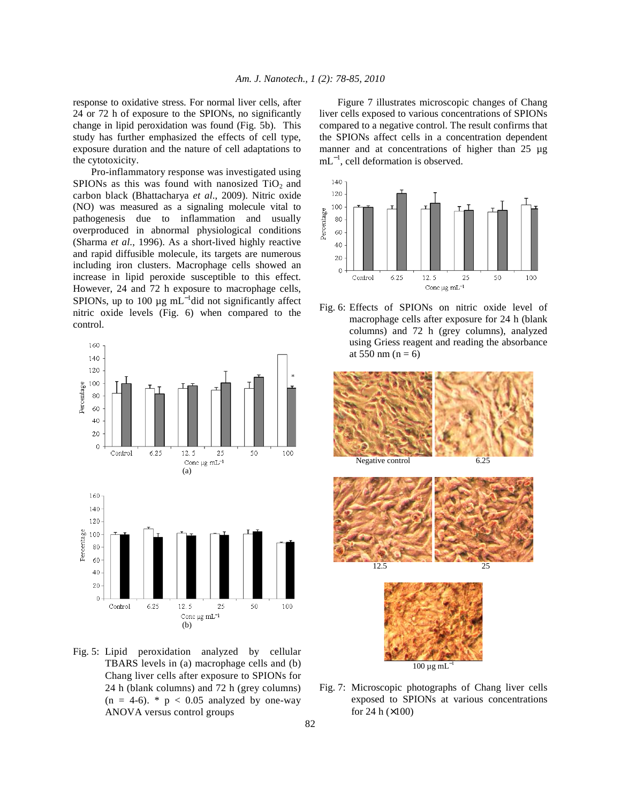response to oxidative stress. For normal liver cells, after 24 or 72 h of exposure to the SPIONs, no significantly change in lipid peroxidation was found (Fig. 5b). This study has further emphasized the effects of cell type, exposure duration and the nature of cell adaptations to the cytotoxicity.

 Pro-inflammatory response was investigated using SPIONs as this was found with nanosized  $TiO<sub>2</sub>$  and carbon black (Bhattacharya *et al*., 2009). Nitric oxide (NO) was measured as a signaling molecule vital to pathogenesis due to inflammation and usually overproduced in abnormal physiological conditions (Sharma *et al*., 1996). As a short-lived highly reactive and rapid diffusible molecule, its targets are numerous including iron clusters. Macrophage cells showed an increase in lipid peroxide susceptible to this effect. However, 24 and 72 h exposure to macrophage cells, SPIONs, up to 100  $\mu$ g mL<sup>-1</sup>did not significantly affect nitric oxide levels (Fig. 6) when compared to the control.



Fig. 5: Lipid peroxidation analyzed by cellular TBARS levels in (a) macrophage cells and (b) Chang liver cells after exposure to SPIONs for 24 h (blank columns) and 72 h (grey columns)  $(n = 4-6)$ . \*  $p < 0.05$  analyzed by one-way ANOVA versus control groups

 Figure 7 illustrates microscopic changes of Chang liver cells exposed to various concentrations of SPIONs compared to a negative control. The result confirms that the SPIONs affect cells in a concentration dependent manner and at concentrations of higher than 25 µg mL<sup>-1</sup>, cell deformation is observed.



Fig. 6: Effects of SPIONs on nitric oxide level of macrophage cells after exposure for 24 h (blank columns) and 72 h (grey columns), analyzed using Griess reagent and reading the absorbance at  $550 \text{ nm}$  (n = 6)



Fig. 7: Microscopic photographs of Chang liver cells exposed to SPIONs at various concentrations for 24 h  $(x100)$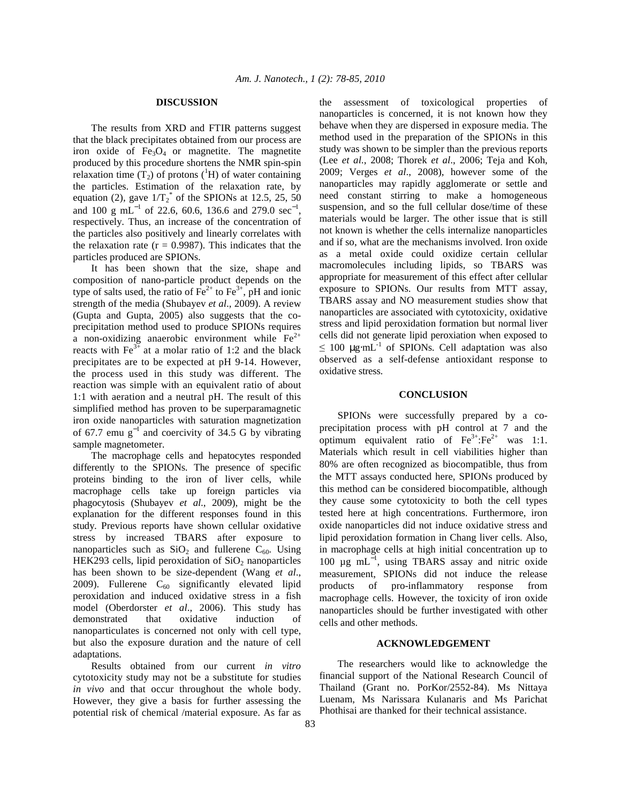### **DISCUSSION**

 The results from XRD and FTIR patterns suggest that the black precipitates obtained from our process are iron oxide of  $Fe<sub>3</sub>O<sub>4</sub>$  or magnetite. The magnetite produced by this procedure shortens the NMR spin-spin relaxation time  $(T_2)$  of protons ( $^1$ H) of water containing the particles. Estimation of the relaxation rate, by equation (2), gave  $1/\text{T}_2^*$  of the SPIONs at 12.5, 25, 50 and 100 g mL<sup>-1</sup> of 22.6, 60.6, 136.6 and 279.0 sec<sup>-1</sup>, respectively. Thus, an increase of the concentration of the particles also positively and linearly correlates with the relaxation rate  $(r = 0.9987)$ . This indicates that the particles produced are SPIONs.

 It has been shown that the size, shape and composition of nano-particle product depends on the type of salts used, the ratio of  $\text{Fe}^{2+}$  to  $\text{Fe}^{3+}$ , pH and ionic strength of the media (Shubayev *et al*., 2009). A review (Gupta and Gupta, 2005) also suggests that the coprecipitation method used to produce SPIONs requires a non-oxidizing anaerobic environment while  $Fe<sup>2+</sup>$ reacts with  $Fe<sup>3+</sup>$  at a molar ratio of 1:2 and the black precipitates are to be expected at pH 9-14. However, the process used in this study was different. The reaction was simple with an equivalent ratio of about 1:1 with aeration and a neutral pH. The result of this simplified method has proven to be superparamagnetic iron oxide nanoparticles with saturation magnetization of 67.7 emu  $g^{-1}$  and coercivity of 34.5 G by vibrating sample magnetometer.

 The macrophage cells and hepatocytes responded differently to the SPIONs. The presence of specific proteins binding to the iron of liver cells, while macrophage cells take up foreign particles via phagocytosis (Shubayev *et al*., 2009), might be the explanation for the different responses found in this study. Previous reports have shown cellular oxidative stress by increased TBARS after exposure to nanoparticles such as  $SiO<sub>2</sub>$  and fullerene C<sub>60</sub>. Using HEK293 cells, lipid peroxidation of  $SiO<sub>2</sub>$  nanoparticles has been shown to be size-dependent (Wang *et al*., 2009). Fullerene  $C_{60}$  significantly elevated lipid peroxidation and induced oxidative stress in a fish model (Oberdorster *et al*., 2006). This study has demonstrated that oxidative induction of nanoparticulates is concerned not only with cell type, but also the exposure duration and the nature of cell adaptations.

 Results obtained from our current *in vitro* cytotoxicity study may not be a substitute for studies *in vivo* and that occur throughout the whole body. However, they give a basis for further assessing the potential risk of chemical /material exposure. As far as the assessment of toxicological properties of nanoparticles is concerned, it is not known how they behave when they are dispersed in exposure media. The method used in the preparation of the SPIONs in this study was shown to be simpler than the previous reports (Lee *et al*., 2008; Thorek *et al*., 2006; Teja and Koh, 2009; Verges *et al*., 2008), however some of the nanoparticles may rapidly agglomerate or settle and need constant stirring to make a homogeneous suspension, and so the full cellular dose/time of these materials would be larger. The other issue that is still not known is whether the cells internalize nanoparticles and if so, what are the mechanisms involved. Iron oxide as a metal oxide could oxidize certain cellular macromolecules including lipids, so TBARS was appropriate for measurement of this effect after cellular exposure to SPIONs. Our results from MTT assay, TBARS assay and NO measurement studies show that nanoparticles are associated with cytotoxicity, oxidative stress and lipid peroxidation formation but normal liver cells did not generate lipid peroxiation when exposed to  $\leq$  100 ug·mL $^{-1}$  of SPIONs. Cell adaptation was also observed as a self-defense antioxidant response to oxidative stress.

### **CONCLUSION**

 SPIONs were successfully prepared by a coprecipitation process with pH control at 7 and the optimum equivalent ratio of  $Fe^{3+} : Fe^{2+}$  was 1:1. Materials which result in cell viabilities higher than 80% are often recognized as biocompatible, thus from the MTT assays conducted here, SPIONs produced by this method can be considered biocompatible, although they cause some cytotoxicity to both the cell types tested here at high concentrations. Furthermore, iron oxide nanoparticles did not induce oxidative stress and lipid peroxidation formation in Chang liver cells. Also, in macrophage cells at high initial concentration up to 100 μg mL<sup>-1</sup>, using TBARS assay and nitric oxide measurement, SPIONs did not induce the release products of pro-inflammatory response from macrophage cells. However, the toxicity of iron oxide nanoparticles should be further investigated with other cells and other methods.

### **ACKNOWLEDGEMENT**

 The researchers would like to acknowledge the financial support of the National Research Council of Thailand (Grant no. PorKor/2552-84). Ms Nittaya Luenam, Ms Narissara Kulanaris and Ms Parichat Phothisai are thanked for their technical assistance.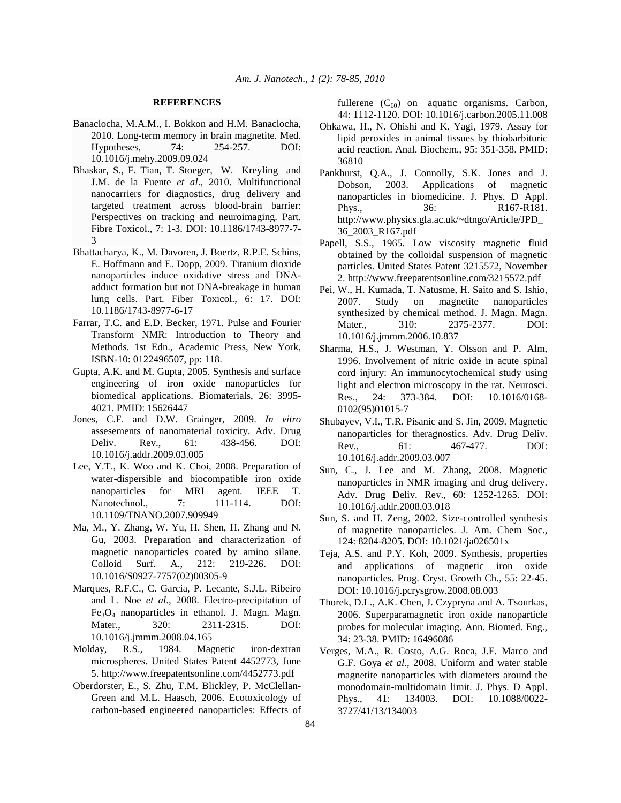### **REFERENCES**

- Banaclocha, M.A.M., I. Bokkon and H.M. Banaclocha, 2010. Long-term memory in brain magnetite. Med. Hypotheses, 74: 254-257. DOI: 10.1016/j.mehy.2009.09.024
- Bhaskar, S., F. Tian, T. Stoeger, W. Kreyling and J.M. de la Fuente *et al*., 2010. Multifunctional nanocarriers for diagnostics, drug delivery and targeted treatment across blood-brain barrier: Perspectives on tracking and neuroimaging. Part. Fibre Toxicol., 7: 1-3. DOI: 10.1186/1743-8977-7- 3
- Bhattacharya, K., M. Davoren, J. Boertz, R.P.E. Schins, E. Hoffmann and E. Dopp, 2009. Titanium dioxide nanoparticles induce oxidative stress and DNAadduct formation but not DNA-breakage in human lung cells. Part. Fiber Toxicol., 6: 17. DOI: 10.1186/1743-8977-6-17
- Farrar, T.C. and E.D. Becker, 1971. Pulse and Fourier Transform NMR: Introduction to Theory and Methods. 1st Edn., Academic Press, New York, ISBN-10: 0122496507, pp: 118.
- Gupta, A.K. and M. Gupta, 2005. Synthesis and surface engineering of iron oxide nanoparticles for biomedical applications. Biomaterials, 26: 3995- 4021. PMID: 15626447
- Jones, C.F. and D.W. Grainger, 2009. *In vitro*  assesements of nanomaterial toxicity. Adv. Drug Deliv. Rev., 61: 438-456. DOI: 10.1016/j.addr.2009.03.005
- Lee, Y.T., K. Woo and K. Choi, 2008. Preparation of water-dispersible and biocompatible iron oxide nanoparticles for MRI agent. IEEE T. Nanotechnol., 7: 111-114. DOI: 10.1109/TNANO.2007.909949
- Ma, M., Y. Zhang, W. Yu, H. Shen, H. Zhang and N. Gu, 2003. Preparation and characterization of magnetic nanoparticles coated by amino silane. Colloid Surf. A., 212: 219-226. DOI: 10.1016/S0927-7757(02)00305-9
- Marques, R.F.C., C. Garcia, P. Lecante, S.J.L. Ribeiro and L. Noe *et al*., 2008. Electro-precipitation of  $Fe<sub>3</sub>O<sub>4</sub>$  nanoparticles in ethanol. J. Magn. Magn. Mater., 320: 2311-2315. DOI: 10.1016/j.jmmm.2008.04.165
- Molday, R.S., 1984. Magnetic iron-dextran microspheres. United States Patent 4452773, June 5. http://www.freepatentsonline.com/4452773.pdf
- Oberdorster, E., S. Zhu, T.M. Blickley, P. McClellan-Green and M.L. Haasch, 2006. Ecotoxicology of carbon-based engineered nanoparticles: Effects of

fullerene  $(C_{60})$  on aquatic organisms. Carbon, 44: 1112-1120. DOI: 10.1016/j.carbon.2005.11.008

- Ohkawa, H., N. Ohishi and K. Yagi, 1979. Assay for lipid peroxides in animal tissues by thiobarbituric acid reaction. Anal. Biochem., 95: 351-358. PMID: 36810
- Pankhurst, Q.A., J. Connolly, S.K. Jones and J. Dobson, 2003. Applications of magnetic nanoparticles in biomedicine. J. Phys. D Appl. Phys., 36: R167-R181. http://www.physics.gla.ac.uk/~dtngo/Article/JPD\_ 36\_2003\_R167.pdf
- Papell, S.S., 1965. Low viscosity magnetic fluid obtained by the colloidal suspension of magnetic particles. United States Patent 3215572, November 2. http://www.freepatentsonline.com/3215572.pdf
- Pei, W., H. Kumada, T. Natusme, H. Saito and S. Ishio, 2007. Study on magnetite nanoparticles synthesized by chemical method. J. Magn. Magn. Mater.. 310: 2375-2377. DOI: 10.1016/j.jmmm.2006.10.837
- Sharma, H.S., J. Westman, Y. Olsson and P. Alm, 1996. Involvement of nitric oxide in acute spinal cord injury: An immunocytochemical study using light and electron microscopy in the rat. Neurosci. Res., 24: 373-384. DOI: 10.1016/0168- 0102(95)01015-7
- Shubayev, V.I., T.R. Pisanic and S. Jin, 2009. Magnetic nanoparticles for theragnostics. Adv. Drug Deliv. Rev., 61: 467-477. DOI: 10.1016/j.addr.2009.03.007
- Sun, C., J. Lee and M. Zhang, 2008. Magnetic nanoparticles in NMR imaging and drug delivery. Adv. Drug Deliv. Rev., 60: 1252-1265. DOI: 10.1016/j.addr.2008.03.018
- Sun, S. and H. Zeng, 2002. Size-controlled synthesis of magnetite nanoparticles. J. Am. Chem Soc., 124: 8204-8205. DOI: 10.1021/ja026501x
- Teja, A.S. and P.Y. Koh, 2009. Synthesis, properties and applications of magnetic iron oxide nanoparticles. Prog. Cryst. Growth Ch., 55: 22-45. DOI: 10.1016/j.pcrysgrow.2008.08.003
- Thorek, D.L., A.K. Chen, J. Czypryna and A. Tsourkas, 2006. Superparamagnetic iron oxide nanoparticle probes for molecular imaging. Ann. Biomed. Eng., 34: 23-38. PMID: 16496086
- Verges, M.A., R. Costo, A.G. Roca, J.F. Marco and G.F. Goya *et al*., 2008. Uniform and water stable magnetite nanoparticles with diameters around the monodomain-multidomain limit. J. Phys. D Appl. Phys., 41: 134003. DOI: 10.1088/0022- 3727/41/13/134003